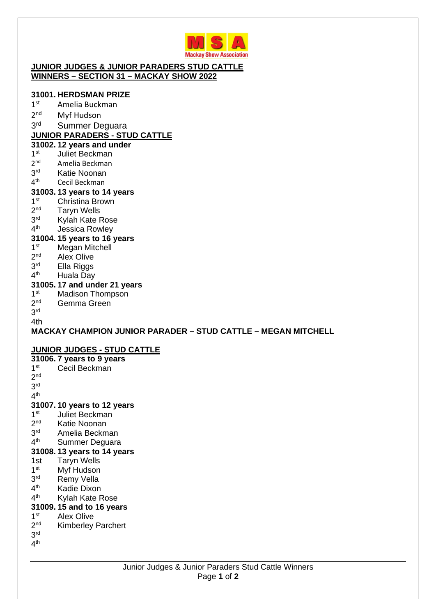

#### **JUNIOR JUDGES & JUNIOR PARADERS STUD CATTLE WINNERS – SECTION 31 – MACKAY SHOW 2022**

### **31001. HERDSMAN PRIZE**

- $1<sup>st</sup>$ Amelia Buckman
- $2<sup>nd</sup>$ Myf Hudson
- 3rd Summer Deguara

# **JUNIOR PARADERS - STUD CATTLE**

### **31002. 12 years and under**

- $1<sup>st</sup>$ Juliet Beckman
- $2<sup>nd</sup>$ Amelia Beckman
- 3rd Katie Noonan
- $4<sup>th</sup>$ Cecil Beckman

### **31003. 13 years to 14 years**

- $1<sup>st</sup>$ Christina Brown
- $2<sup>nd</sup>$ **Taryn Wells**
- $3<sup>rd</sup>$ Kylah Kate Rose
- $4<sup>th</sup>$ Jessica Rowley

### **31004. 15 years to 16 years**

- $1<sup>st</sup>$ **Megan Mitchell**
- $2<sup>nd</sup>$ Alex Olive
- 3rd Ella Riggs
- $4<sup>th</sup>$ Huala Day

### **31005. 17 and under 21 years**

- $1<sup>st</sup>$ **Madison Thompson**
- $2<sup>nd</sup>$ Gemma Green
- 3 rd

#### 4th

# **MACKAY CHAMPION JUNIOR PARADER – STUD CATTLE – MEGAN MITCHELL**

### **JUNIOR JUDGES - STUD CATTLE**

**31006. 7 years to 9 years**   $1<sup>st</sup>$ Cecil Beckman 2 nd 3 rd  $4^{\text{th}}$ **31007. 10 years to 12 years**   $1<sup>st</sup>$ Juliet Beckman  $2<sub>nd</sub>$ Katie Noonan 3rd Amelia Beckman  $4<sup>th</sup>$ Summer Deguara **31008. 13 years to 14 years**  1st Taryn Wells  $1<sup>st</sup>$ Myf Hudson 3rd Remy Vella  $4<sup>th</sup>$ Kadie Dixon  $4<sup>th</sup>$ Kylah Kate Rose **31009. 15 and to 16 years**   $1<sup>st</sup>$ Alex Olive  $2<sup>nd</sup>$ Kimberley Parchert 3 rd  $4^{\mathsf{th}}$